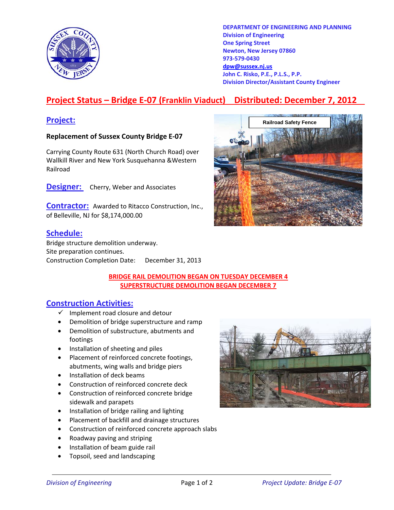

**DEPARTMENT OF ENGINEERING AND PLANNING Division of Engineering One Spring Street Newton, New Jersey 07860 973-579-0430 dpw@sussex.nj.us John C. Risko, P.E., P.L.S., P.P. Division Director/Assistant County Engineer** 

# **Project Status – Bridge E-07 (Franklin Viaduct) Distributed: December 7, 2012**

### **Replacement of Sussex County Bridge E-07**

Carrying County Route 631 (North Church Road) over Wallkill River and New York Susquehanna &Western Railroad

**Designer:** Cherry, Weber and Associates

**Contractor:** Awarded to Ritacco Construction, Inc., of Belleville, NJ for \$8,174,000.00

## **Schedule:**

Bridge structure demolition underway. Site preparation continues. Construction Completion Date: December 31, 2013



### **BRIDGE RAIL DEMOLITION BEGAN ON TUESDAY DECEMBER 4 SUPERSTRUCTURE DEMOLITION BEGAN DECEMBER 7**

# **Construction Activities:**

- $\checkmark$  Implement road closure and detour
- Demolition of bridge superstructure and ramp
- Demolition of substructure, abutments and footings
- Installation of sheeting and piles
- Placement of reinforced concrete footings, abutments, wing walls and bridge piers
- Installation of deck beams
- Construction of reinforced concrete deck
- Construction of reinforced concrete bridge sidewalk and parapets
- Installation of bridge railing and lighting
- Placement of backfill and drainage structures
- Construction of reinforced concrete approach slabs
- Roadway paving and striping
- Installation of beam guide rail
- Topsoil, seed and landscaping